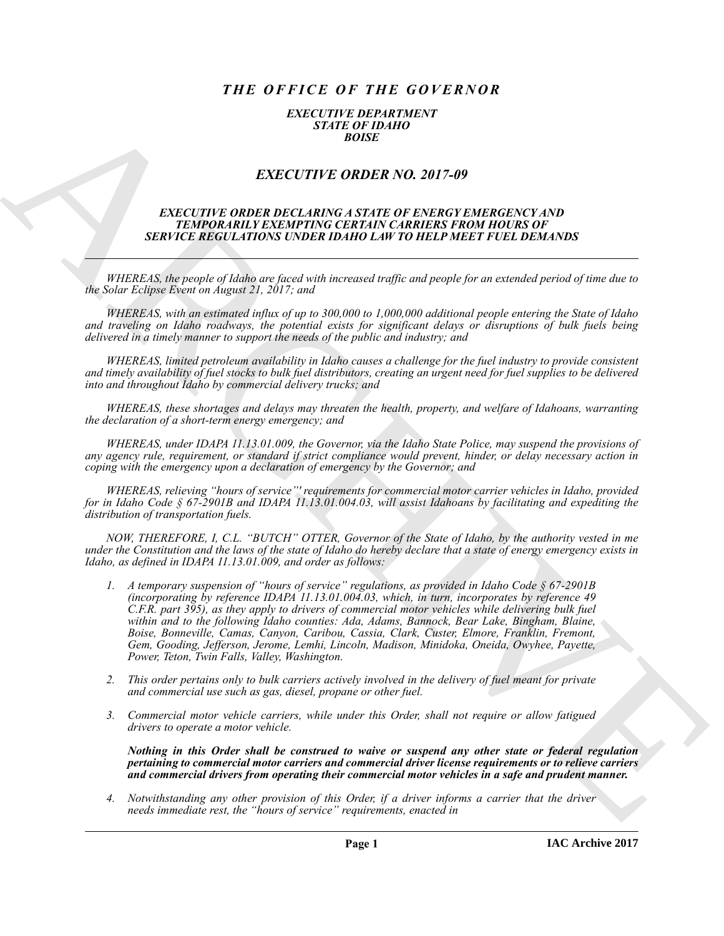## *THE OFFICE OF THE GOVERNOR*

## *EXECUTIVE DEPARTMENT STATE OF IDAHO BOISE*

## *EXECUTIVE ORDER NO. 2017-09*

## *EXECUTIVE ORDER DECLARING A STATE OF ENERGY EMERGENCY AND TEMPORARILY EXEMPTING CERTAIN CARRIERS FROM HOURS OF SERVICE REGULATIONS UNDER IDAHO LAW TO HELP MEET FUEL DEMANDS*

*WHEREAS, the people of Idaho are faced with increased traffic and people for an extended period of time due to the Solar Eclipse Event on August 21, 2017; and*

*WHEREAS, with an estimated influx of up to 300,000 to 1,000,000 additional people entering the State of Idaho and traveling on Idaho roadways, the potential exists for significant delays or disruptions of bulk fuels being delivered in a timely manner to support the needs of the public and industry; and*

*WHEREAS, limited petroleum availability in Idaho causes a challenge for the fuel industry to provide consistent and timely availability of fuel stocks to bulk fuel distributors, creating an urgent need for fuel supplies to be delivered into and throughout Idaho by commercial delivery trucks; and*

*WHEREAS, these shortages and delays may threaten the health, property, and welfare of Idahoans, warranting the declaration of a short-term energy emergency; and*

*WHEREAS, under IDAPA 11.13.01.009, the Governor, via the Idaho State Police, may suspend the provisions of any agency rule, requirement, or standard if strict compliance would prevent, hinder, or delay necessary action in coping with the emergency upon a declaration of emergency by the Governor; and*

*WHEREAS, relieving "hours of service"' requirements for commercial motor carrier vehicles in Idaho, provided for in Idaho Code § 67-2901B and IDAPA 11.13.01.004.03, will assist Idahoans by facilitating and expediting the distribution of transportation fuels.*

*NOW, THEREFORE, I, C.L. "BUTCH" OTTER, Governor of the State of Idaho, by the authority vested in me under the Constitution and the laws of the state of Idaho do hereby declare that a state of energy emergency exists in Idaho, as defined in IDAPA 11.13.01.009, and order as follows:*

- EXACT UTE ORDER NO. 2017-09<br>
EXACT UTE ORDER NO. 2017-09<br>
EXACT UTE ORDER NO. 2017-09<br>
EXACT UTE ORDER NO. 2017-09<br>
EXACT UTE ORDER NO. 2017-09<br>
ARCHIVE ORDER NO. 2017-09<br>
ARCHIVE ORDER NO. 2017-09<br>
ARCHIVE ORDER NO. 2017 *1. A temporary suspension of "hours of service" regulations, as provided in Idaho Code § 67-2901B (incorporating by reference IDAPA 11.13.01.004.03, which, in turn, incorporates by reference 49 C.F.R. part 395), as they apply to drivers of commercial motor vehicles while delivering bulk fuel within and to the following Idaho counties: Ada, Adams, Bannock, Bear Lake, Bingham, Blaine, Boise, Bonneville, Camas, Canyon, Caribou, Cassia, Clark, Custer, Elmore, Franklin, Fremont, Gem, Gooding, Jefferson, Jerome, Lemhi, Lincoln, Madison, Minidoka, Oneida, Owyhee, Payette, Power, Teton, Twin Falls, Valley, Washington.*
	- *2. This order pertains only to bulk carriers actively involved in the delivery of fuel meant for private and commercial use such as gas, diesel, propane or other fuel.*
	- *3. Commercial motor vehicle carriers, while under this Order, shall not require or allow fatigued drivers to operate a motor vehicle.*

*Nothing in this Order shall be construed to waive or suspend any other state or federal regulation pertaining to commercial motor carriers and commercial driver license requirements or to relieve carriers and commercial drivers from operating their commercial motor vehicles in a safe and prudent manner.*

*4. Notwithstanding any other provision of this Order, if a driver informs a carrier that the driver needs immediate rest, the "hours of service" requirements, enacted in*